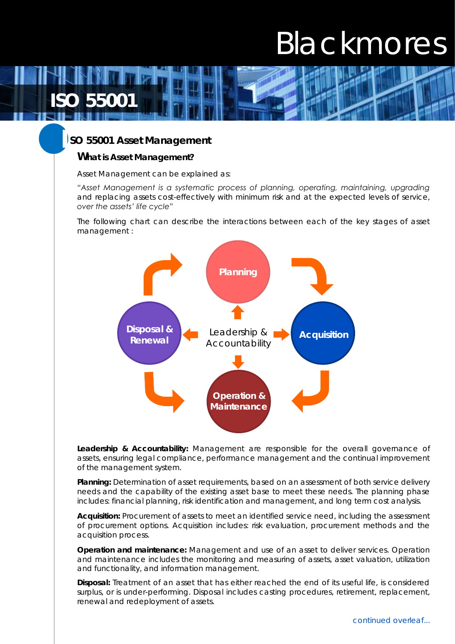# Blackmores

**ISO** 

 **I**

**SO 55001 Asset Management** 

**What is Asset Management?**

Asset Management can be explained as:

*"Asset Management is a systematic process of planning, operating, maintaining, upgrading and replacing assets cost-effectively with minimum risk and at the expected levels of service, over the assets' life cycle"*

The following chart can describe the interactions between each of the key stages of asset management :



**Leadership & Accountability:** Management are responsible for the overall governance of assets, ensuring legal compliance, performance management and the continual improvement of the management system.

**Planning:** Determination of asset requirements, based on an assessment of both service delivery needs and the capability of the existing asset base to meet these needs. The planning phase includes: financial planning, risk identification and management, and long term cost analysis.

**Acquisition:** Procurement of assets to meet an identified service need, including the assessment of procurement options. Acquisition includes: risk evaluation, procurement methods and the acquisition process.

**Operation and maintenance:** Management and use of an asset to deliver services. Operation and maintenance includes the monitoring and measuring of assets, asset valuation, utilization and functionality, and information management.

**Disposal:** Treatment of an asset that has either reached the end of its useful life, is considered surplus, or is under-performing. Disposal includes casting procedures, retirement, replacement, renewal and redeployment of assets.